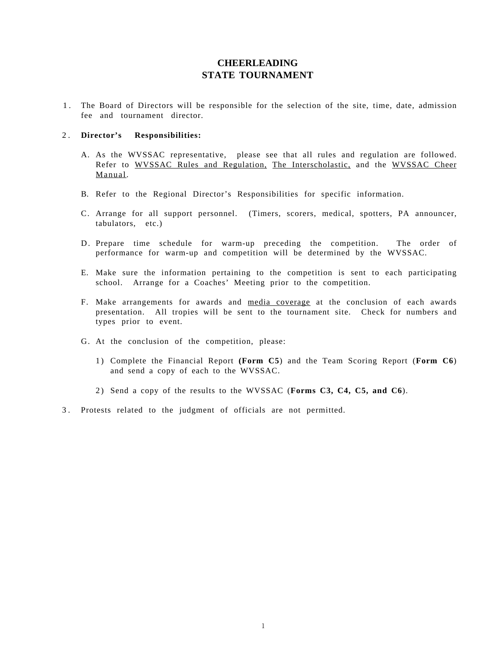### **CHEERLEADING STATE TOURNAMENT**

1 . The Board of Directors will be responsible for the selection of the site, time, date, admission fee and tournament director.

#### 2 . **Director's Responsibilities:**

- A. As the WVSSAC representative, please see that all rules and regulation are followed. Refer to WVSSAC Rules and Regulation, The Interscholastic, and the WVSSAC Cheer Manual.
- B. Refer to the Regional Director's Responsibilities for specific information.
- C. Arrange for all support personnel. (Timers, scorers, medical, spotters, PA announcer, tabulators, etc.)
- D. Prepare time schedule for warm-up preceding the competition. The order of performance for warm-up and competition will be determined by the WVSSAC.
- E. Make sure the information pertaining to the competition is sent to each participating school. Arrange for a Coaches' Meeting prior to the competition.
- F. Make arrangements for awards and media coverage at the conclusion of each awards presentation. All tropies will be sent to the tournament site. Check for numbers and types prior to event.
- G. At the conclusion of the competition, please:
	- 1) Complete the Financial Report **(Form C5**) and the Team Scoring Report (**Form C6**) and send a copy of each to the WVSSAC.
	- 2) Send a copy of the results to the WVSSAC (**Forms C3, C4, C5, and C6**).
- 3 . Protests related to the judgment of officials are not permitted.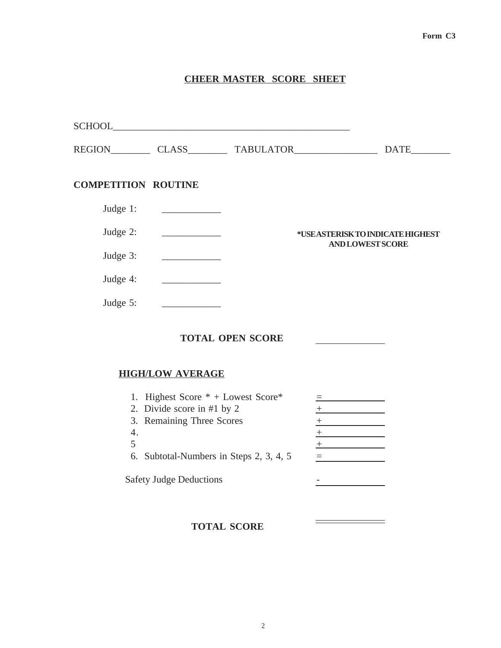### **CHEER MASTER SCORE SHEET**

|                                                                                                                                                                                                                                                  | <b>DATE</b>                                                                                                                                                                                                                                                                |
|--------------------------------------------------------------------------------------------------------------------------------------------------------------------------------------------------------------------------------------------------|----------------------------------------------------------------------------------------------------------------------------------------------------------------------------------------------------------------------------------------------------------------------------|
| <b>COMPETITION ROUTINE</b>                                                                                                                                                                                                                       |                                                                                                                                                                                                                                                                            |
| Judge 1:                                                                                                                                                                                                                                         |                                                                                                                                                                                                                                                                            |
| Judge 2:                                                                                                                                                                                                                                         | *USE ASTERISK TO INDICATE HIGHEST                                                                                                                                                                                                                                          |
| Judge 3:<br><u> The Communication of the Communication of the Communication of the Communication of the Communication of the Communication of the Communication of the Communication of the Communication of the Communication of the Commun</u> | <b>AND LOWEST SCORE</b>                                                                                                                                                                                                                                                    |
| Judge 4:                                                                                                                                                                                                                                         |                                                                                                                                                                                                                                                                            |
| Judge 5:                                                                                                                                                                                                                                         |                                                                                                                                                                                                                                                                            |
| <b>TOTAL OPEN SCORE</b>                                                                                                                                                                                                                          |                                                                                                                                                                                                                                                                            |
| <b>HIGH/LOW AVERAGE</b>                                                                                                                                                                                                                          |                                                                                                                                                                                                                                                                            |
| 1. Highest Score $*$ + Lowest Score $*$<br>2. Divide score in #1 by 2<br>3. Remaining Three Scores<br>4.<br>5<br>6. Subtotal-Numbers in Steps 2, 3, 4, 5<br><b>Safety Judge Deductions</b>                                                       | $\equiv$ . The contract of the contract of $\equiv$<br>$+$ $   -$<br>$+$ $    -$<br>$\mathcal{L}^{\mathcal{L}}(\mathcal{L}^{\mathcal{L}})$ and $\mathcal{L}^{\mathcal{L}}(\mathcal{L}^{\mathcal{L}})$ . In the contract of<br>$+$ . The contract of the contract of $\sim$ |
| <b>TOTAL SCORE</b>                                                                                                                                                                                                                               |                                                                                                                                                                                                                                                                            |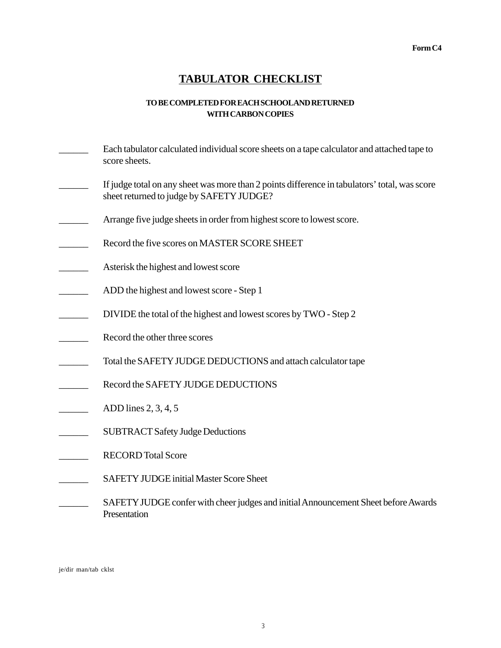## **TABULATOR CHECKLIST**

#### **TO BE COMPLETED FOR EACH SCHOOL AND RETURNED WITH CARBON COPIES**

- \_\_\_\_\_\_ Each tabulator calculated individual score sheets on a tape calculator and attached tape to score sheets.
- If judge total on any sheet was more than 2 points difference in tabulators' total, was score sheet returned to judge by SAFETY JUDGE?
- Arrange five judge sheets in order from highest score to lowest score.
- Record the five scores on MASTER SCORE SHEET
- Asterisk the highest and lowest score
- ADD the highest and lowest score Step 1
- DIVIDE the total of the highest and lowest scores by TWO Step 2
- Record the other three scores
- Total the SAFETY JUDGE DEDUCTIONS and attach calculator tape
- Record the SAFETY JUDGE DEDUCTIONS
- $\Box$  ADD lines 2, 3, 4, 5
- \_\_\_\_\_\_ SUBTRACT Safety Judge Deductions
- RECORD Total Score
- **SAFETY JUDGE initial Master Score Sheet**
- SAFETY JUDGE confer with cheer judges and initial Announcement Sheet before Awards Presentation

je/dir man/tab cklst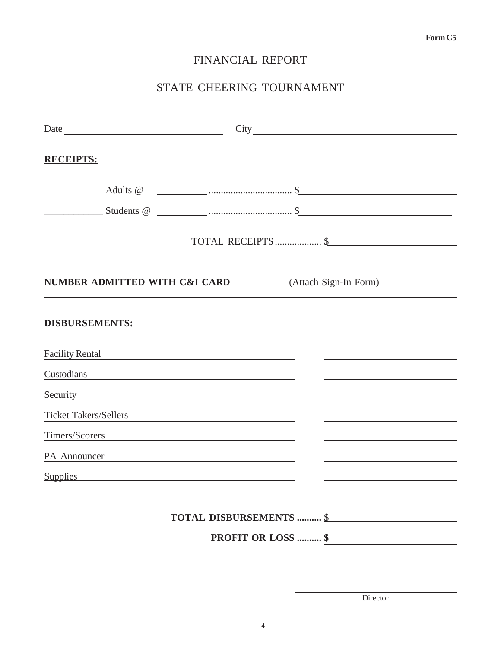## FINANCIAL REPORT

# STATE CHEERING TOURNAMENT

| <b>RECEIPTS:</b>                                                                                                                                                                                                               |  |                           |  |  |  |
|--------------------------------------------------------------------------------------------------------------------------------------------------------------------------------------------------------------------------------|--|---------------------------|--|--|--|
|                                                                                                                                                                                                                                |  |                           |  |  |  |
|                                                                                                                                                                                                                                |  |                           |  |  |  |
|                                                                                                                                                                                                                                |  |                           |  |  |  |
| NUMBER ADMITTED WITH C&I CARD _____________ (Attach Sign-In Form)                                                                                                                                                              |  |                           |  |  |  |
| <b>DISBURSEMENTS:</b>                                                                                                                                                                                                          |  |                           |  |  |  |
| Facility Rental                                                                                                                                                                                                                |  |                           |  |  |  |
| Custodians and the contract of the contract of the contract of the contract of the contract of the contract of                                                                                                                 |  |                           |  |  |  |
| Security experience of the security of the security of the security of the second security of the second second second second second second second second second second second second second second second second second secon |  |                           |  |  |  |
| Ticket Takers/Sellers                                                                                                                                                                                                          |  |                           |  |  |  |
| Timers/Scorers                                                                                                                                                                                                                 |  |                           |  |  |  |
| PA Announcer                                                                                                                                                                                                                   |  |                           |  |  |  |
| Supplies Supplies                                                                                                                                                                                                              |  |                           |  |  |  |
|                                                                                                                                                                                                                                |  |                           |  |  |  |
|                                                                                                                                                                                                                                |  | TOTAL DISBURSEMENTS  \$   |  |  |  |
|                                                                                                                                                                                                                                |  | <b>PROFIT OR LOSS  \$</b> |  |  |  |

Director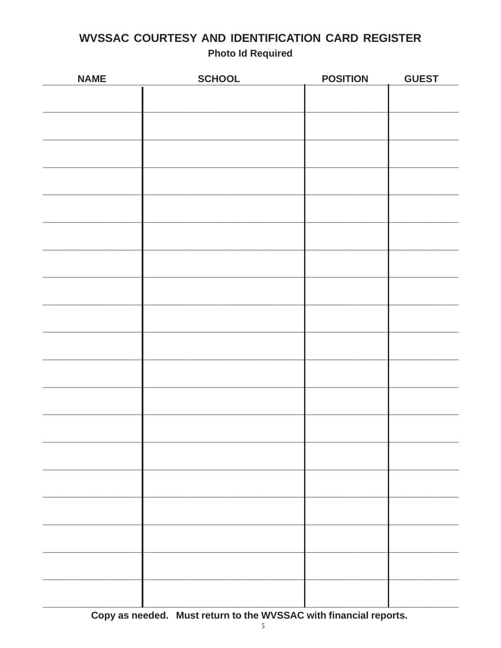# **WVSSAC COURTESY AND IDENTIFICATION CARD REGISTER Photo Id Required**

| <b>NAME</b> | <b>SCHOOL</b> | <b>POSITION</b> | <b>GUEST</b> |
|-------------|---------------|-----------------|--------------|
|             |               |                 |              |
|             |               |                 |              |
|             |               |                 |              |
|             |               |                 |              |
|             |               |                 |              |
|             |               |                 |              |
|             |               |                 |              |
|             |               |                 |              |
|             |               |                 |              |
|             |               |                 |              |
|             |               |                 |              |
|             |               |                 |              |
|             |               |                 |              |
|             |               |                 |              |
|             |               |                 |              |
|             |               |                 |              |
|             |               |                 |              |
|             |               |                 |              |
|             |               |                 |              |
|             |               |                 |              |
|             |               |                 |              |
|             |               |                 |              |

Copy as needed. Must return to the WVSSAC with financial reports.